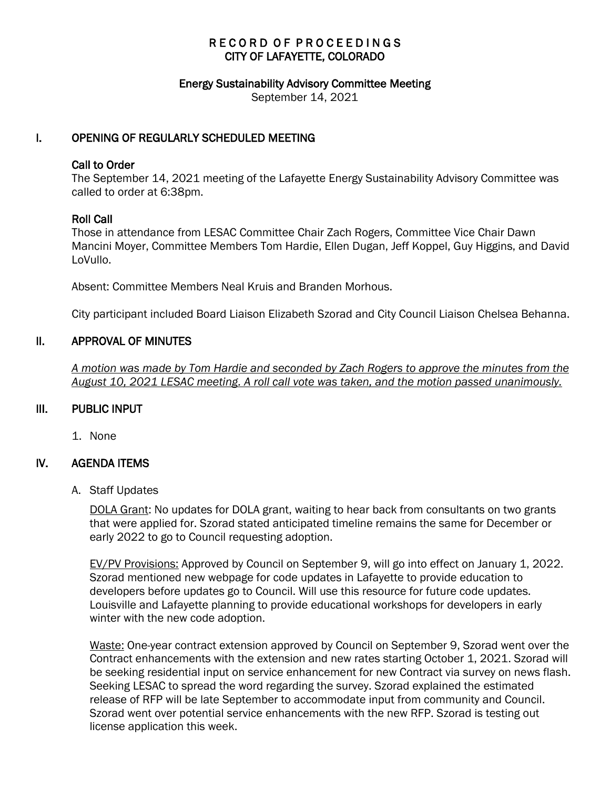# RECORD OF PROCEEDINGS CITY OF LAFAYETTE, COLORADO

#### Energy Sustainability Advisory Committee Meeting

September 14, 2021

### I. OPENING OF REGULARLY SCHEDULED MEETING

#### Call to Order

The September 14, 2021 meeting of the Lafayette Energy Sustainability Advisory Committee was called to order at 6:38pm.

### Roll Call

Those in attendance from LESAC Committee Chair Zach Rogers, Committee Vice Chair Dawn Mancini Moyer, Committee Members Tom Hardie, Ellen Dugan, Jeff Koppel, Guy Higgins, and David LoVullo.

Absent: Committee Members Neal Kruis and Branden Morhous.

City participant included Board Liaison Elizabeth Szorad and City Council Liaison Chelsea Behanna.

### II. APPROVAL OF MINUTES

 *A motion was made by Tom Hardie and seconded by Zach Rogers to approve the minutes from the August 10, 2021 LESAC meeting. A roll call vote was taken, and the motion passed unanimously.*

### III. PUBLIC INPUT

1. None

### IV. AGENDA ITEMS

A. Staff Updates

DOLA Grant: No updates for DOLA grant, waiting to hear back from consultants on two grants that were applied for. Szorad stated anticipated timeline remains the same for December or early 2022 to go to Council requesting adoption.

EV/PV Provisions: Approved by Council on September 9, will go into effect on January 1, 2022. Szorad mentioned new webpage for code updates in Lafayette to provide education to developers before updates go to Council. Will use this resource for future code updates. Louisville and Lafayette planning to provide educational workshops for developers in early winter with the new code adoption.

Waste: One-year contract extension approved by Council on September 9, Szorad went over the Contract enhancements with the extension and new rates starting October 1, 2021. Szorad will be seeking residential input on service enhancement for new Contract via survey on news flash. Seeking LESAC to spread the word regarding the survey. Szorad explained the estimated release of RFP will be late September to accommodate input from community and Council. Szorad went over potential service enhancements with the new RFP. Szorad is testing out license application this week.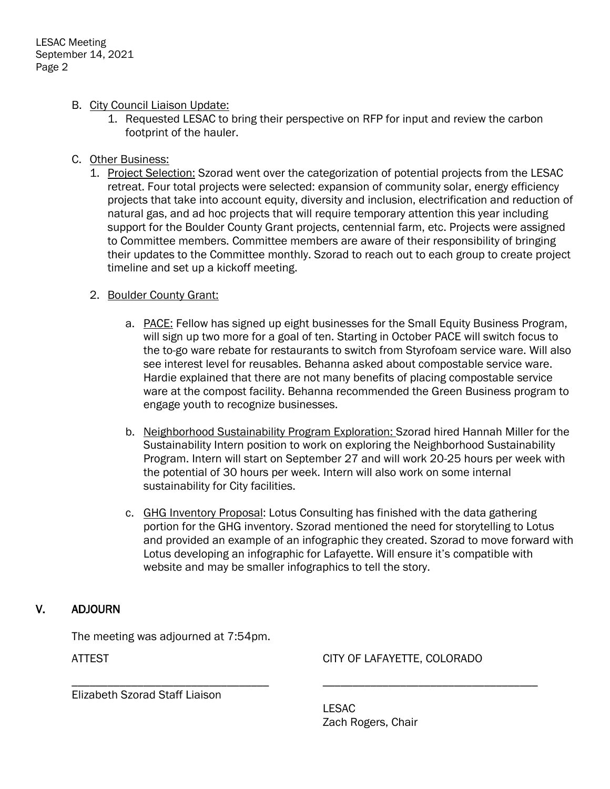## B. City Council Liaison Update:

1. Requested LESAC to bring their perspective on RFP for input and review the carbon footprint of the hauler.

## C. Other Business:

1. Project Selection: Szorad went over the categorization of potential projects from the LESAC retreat. Four total projects were selected: expansion of community solar, energy efficiency projects that take into account equity, diversity and inclusion, electrification and reduction of natural gas, and ad hoc projects that will require temporary attention this year including support for the Boulder County Grant projects, centennial farm, etc. Projects were assigned to Committee members. Committee members are aware of their responsibility of bringing their updates to the Committee monthly. Szorad to reach out to each group to create project timeline and set up a kickoff meeting.

### 2. Boulder County Grant:

- a. PACE: Fellow has signed up eight businesses for the Small Equity Business Program, will sign up two more for a goal of ten. Starting in October PACE will switch focus to the to-go ware rebate for restaurants to switch from Styrofoam service ware. Will also see interest level for reusables. Behanna asked about compostable service ware. Hardie explained that there are not many benefits of placing compostable service ware at the compost facility. Behanna recommended the Green Business program to engage youth to recognize businesses.
- b. Neighborhood Sustainability Program Exploration: Szorad hired Hannah Miller for the Sustainability Intern position to work on exploring the Neighborhood Sustainability Program. Intern will start on September 27 and will work 20-25 hours per week with the potential of 30 hours per week. Intern will also work on some internal sustainability for City facilities.
- c. GHG Inventory Proposal: Lotus Consulting has finished with the data gathering portion for the GHG inventory. Szorad mentioned the need for storytelling to Lotus and provided an example of an infographic they created. Szorad to move forward with Lotus developing an infographic for Lafayette. Will ensure it's compatible with website and may be smaller infographics to tell the story.

# V. ADJOURN

The meeting was adjourned at 7:54pm.

ATTEST CITY OF LAFAYETTE, COLORADO

Elizabeth Szorad Staff Liaison

LESAC Zach Rogers, Chair

\_\_\_\_\_\_\_\_\_\_\_\_\_\_\_\_\_\_\_\_\_\_\_\_\_\_\_\_\_\_\_\_\_ \_\_\_\_\_\_\_\_\_\_\_\_\_\_\_\_\_\_\_\_\_\_\_\_\_\_\_\_\_\_\_\_\_\_\_\_